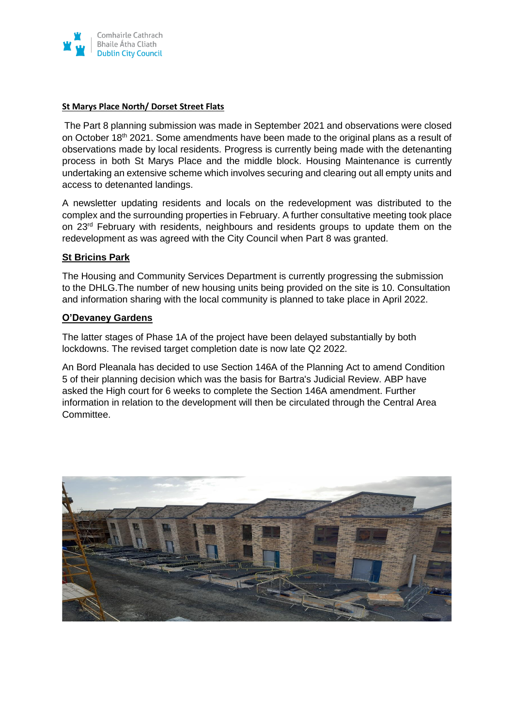

### **St Marys Place North/ Dorset Street Flats**

The Part 8 planning submission was made in September 2021 and observations were closed on October 18<sup>th</sup> 2021. Some amendments have been made to the original plans as a result of observations made by local residents. Progress is currently being made with the detenanting process in both St Marys Place and the middle block. Housing Maintenance is currently undertaking an extensive scheme which involves securing and clearing out all empty units and access to detenanted landings.

A newsletter updating residents and locals on the redevelopment was distributed to the complex and the surrounding properties in February. A further consultative meeting took place on 23rd February with residents, neighbours and residents groups to update them on the redevelopment as was agreed with the City Council when Part 8 was granted.

## **St Bricins Park**

The Housing and Community Services Department is currently progressing the submission to the DHLG.The number of new housing units being provided on the site is 10. Consultation and information sharing with the local community is planned to take place in April 2022.

## **O'Devaney Gardens**

The latter stages of Phase 1A of the project have been delayed substantially by both lockdowns. The revised target completion date is now late Q2 2022.

An Bord Pleanala has decided to use Section 146A of the Planning Act to amend Condition 5 of their planning decision which was the basis for Bartra's Judicial Review. ABP have asked the High court for 6 weeks to complete the Section 146A amendment. Further information in relation to the development will then be circulated through the Central Area Committee.